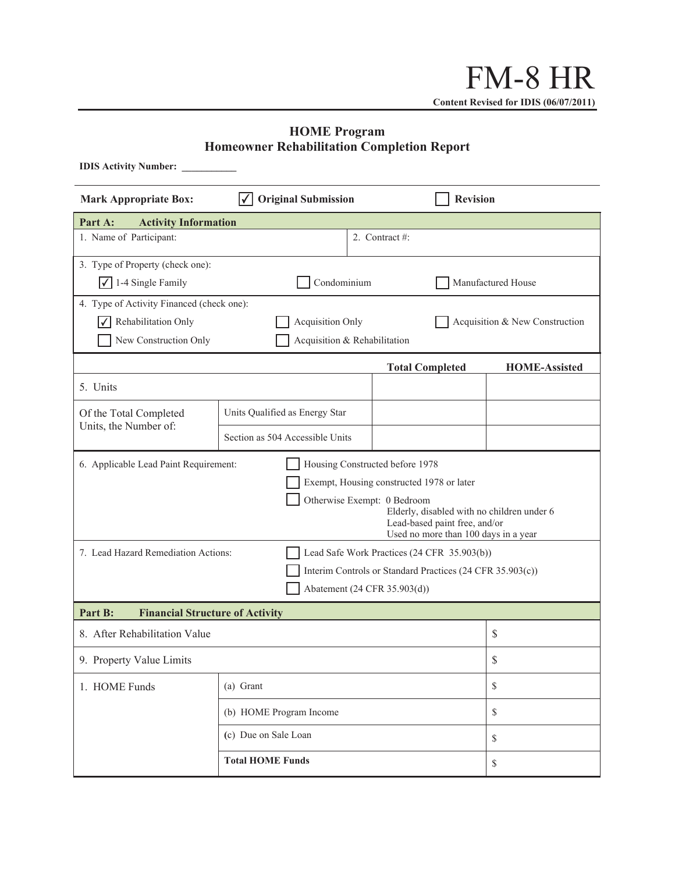## **HOME Program Homeowner Rehabilitation Completion Report**

| <b>IDIS Activity Number:</b>                                                       |                                                           |                                |                 |              |    |  |  |  |  |  |
|------------------------------------------------------------------------------------|-----------------------------------------------------------|--------------------------------|-----------------|--------------|----|--|--|--|--|--|
| <b>Mark Appropriate Box:</b>                                                       | <b>Original Submission</b>                                |                                | <b>Revision</b> |              |    |  |  |  |  |  |
| <b>Activity Information</b><br>Part A:                                             |                                                           |                                |                 |              |    |  |  |  |  |  |
| 1. Name of Participant:                                                            |                                                           |                                |                 |              |    |  |  |  |  |  |
| 3. Type of Property (check one):                                                   |                                                           |                                |                 |              |    |  |  |  |  |  |
| $\sqrt{$ 1-4 Single Family                                                         | Condominium                                               | Manufactured House             |                 |              |    |  |  |  |  |  |
| 4. Type of Activity Financed (check one):                                          |                                                           |                                |                 |              |    |  |  |  |  |  |
| Rehabilitation Only                                                                | <b>Acquisition Only</b>                                   | Acquisition & New Construction |                 |              |    |  |  |  |  |  |
| New Construction Only                                                              | Acquisition & Rehabilitation                              |                                |                 |              |    |  |  |  |  |  |
|                                                                                    | <b>HOME-Assisted</b>                                      |                                |                 |              |    |  |  |  |  |  |
| 5. Units                                                                           |                                                           |                                |                 |              |    |  |  |  |  |  |
| Of the Total Completed<br>Units, the Number of:                                    | Units Qualified as Energy Star                            |                                |                 |              |    |  |  |  |  |  |
|                                                                                    | Section as 504 Accessible Units                           |                                |                 |              |    |  |  |  |  |  |
| 6. Applicable Lead Paint Requirement:<br>Housing Constructed before 1978           |                                                           |                                |                 |              |    |  |  |  |  |  |
| Exempt, Housing constructed 1978 or later                                          |                                                           |                                |                 |              |    |  |  |  |  |  |
| Otherwise Exempt: 0 Bedroom                                                        |                                                           |                                |                 |              |    |  |  |  |  |  |
| Elderly, disabled with no children under 6<br>Lead-based paint free, and/or        |                                                           |                                |                 |              |    |  |  |  |  |  |
|                                                                                    | Used no more than 100 days in a year                      |                                |                 |              |    |  |  |  |  |  |
| 7. Lead Hazard Remediation Actions:<br>Lead Safe Work Practices (24 CFR 35.903(b)) |                                                           |                                |                 |              |    |  |  |  |  |  |
|                                                                                    | Interim Controls or Standard Practices (24 CFR 35.903(c)) |                                |                 |              |    |  |  |  |  |  |
| Abatement (24 CFR 35.903(d))                                                       |                                                           |                                |                 |              |    |  |  |  |  |  |
| Part B:<br><b>Financial Structure of Activity</b>                                  |                                                           |                                |                 |              |    |  |  |  |  |  |
| 8. After Rehabilitation Value                                                      | \$                                                        |                                |                 |              |    |  |  |  |  |  |
| 9. Property Value Limits                                                           | \$                                                        |                                |                 |              |    |  |  |  |  |  |
| 1. HOME Funds                                                                      | (a) Grant                                                 |                                |                 | $\mathbb{S}$ |    |  |  |  |  |  |
|                                                                                    | (b) HOME Program Income                                   |                                |                 | $\mathbb{S}$ |    |  |  |  |  |  |
|                                                                                    | (c) Due on Sale Loan                                      |                                |                 | $\mathbb{S}$ |    |  |  |  |  |  |
| <b>Total HOME Funds</b>                                                            |                                                           |                                |                 |              | \$ |  |  |  |  |  |